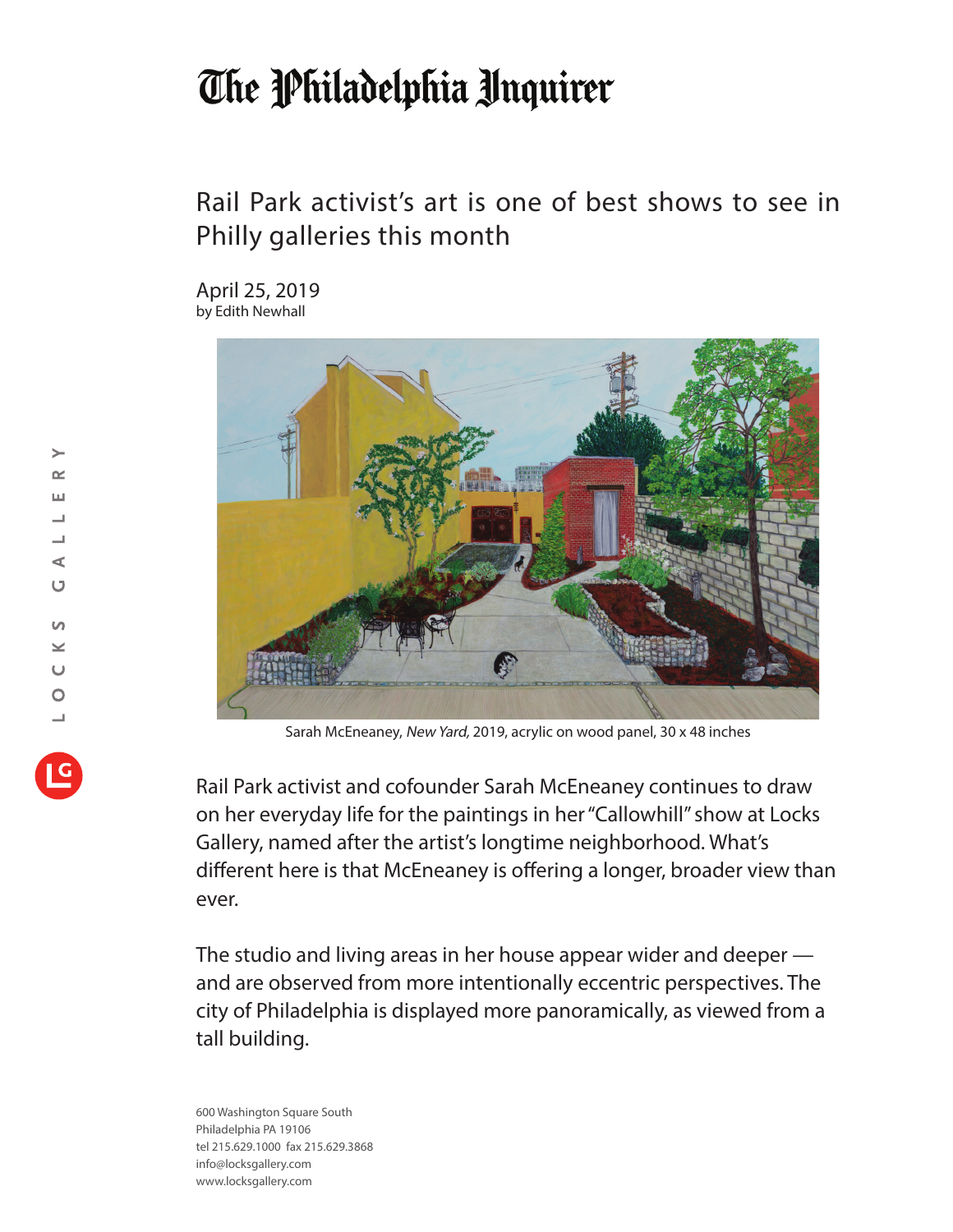## The Philadelphia Unquirer

## Rail Park activist's art is one of best shows to see in Philly galleries this month

April 25, 2019 by Edith Newhall



Sarah McEneaney, New Yard, 2019, acrylic on wood panel, 30 x 48 inches

Rail Park activist and cofounder Sarah McEneaney continues to draw on her everyday life for the paintings in her "Callowhill" show at Locks Gallery, named after the artist's longtime neighborhood. What's different here is that McEneaney is offering a longer, broader view than ever.

The studio and living areas in her house appear wider and deeper and are observed from more intentionally eccentric perspectives. The city of Philadelphia is displayed more panoramically, as viewed from a tall building.

600 Washington Square South Philadelphia PA 19106 tel 215.629.1000 fax 215.629.3868 info@locksgallery.com www.locksgallery.com

 $\geq$